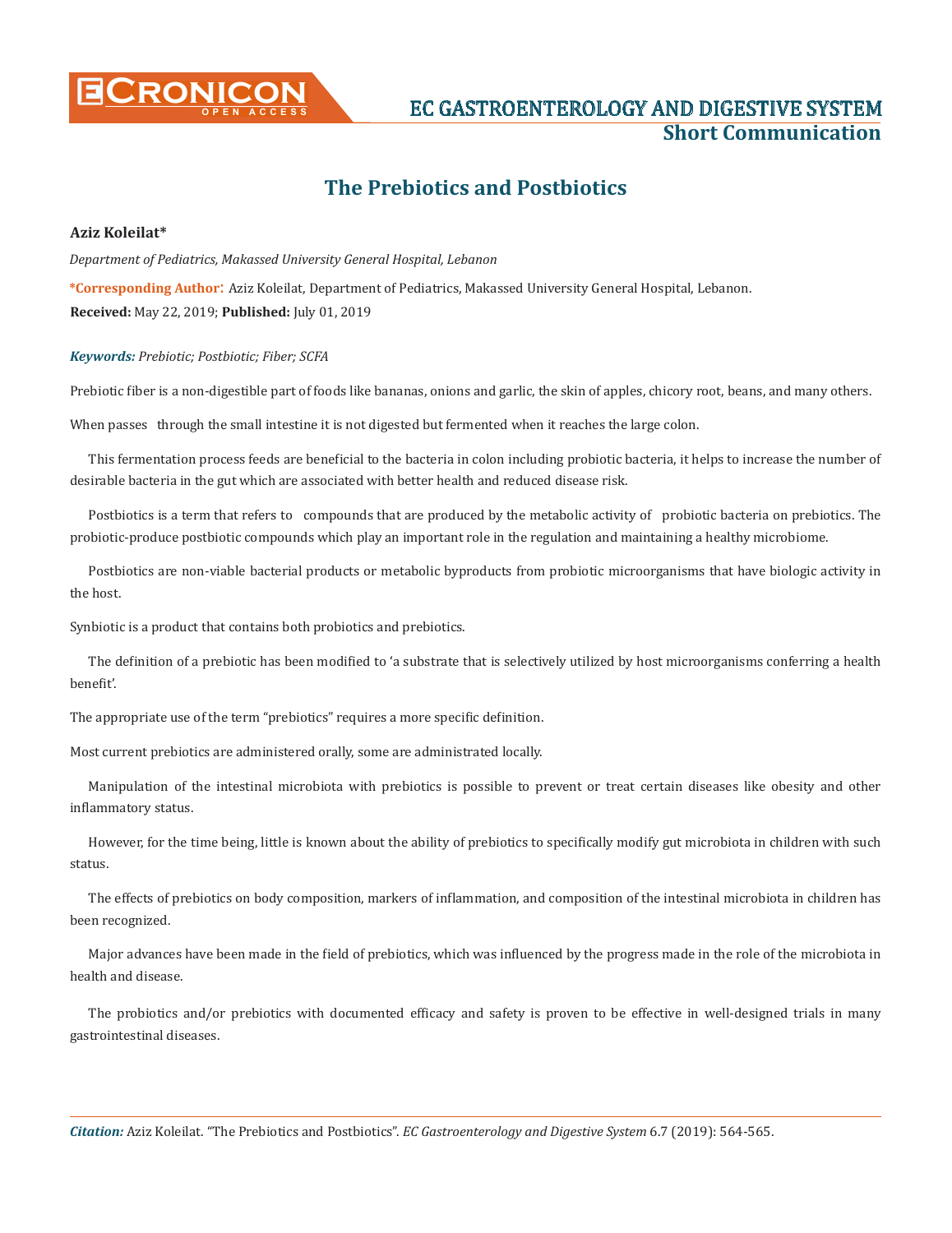

# **CRONICON EC GASTROENTEROLOGY AND DIGESTIVE SYSTEM Short Communication**

## **The Prebiotics and Postbiotics**

### **Aziz Koleilat\***

*Department of Pediatrics, Makassed University General Hospital, Lebanon* **\*Corresponding Author**: Aziz Koleilat, Department of Pediatrics, Makassed University General Hospital, Lebanon. **Received:** May 22, 2019; **Published:** July 01, 2019

### *Keywords: Prebiotic; Postbiotic; Fiber; SCFA*

Prebiotic fiber is a non-digestible part of foods like bananas, onions and garlic, the skin of apples, chicory root, beans, and many others.

When passes through the small intestine it is not digested but fermented when it reaches the large colon.

This fermentation process feeds are beneficial to the bacteria in colon including probiotic bacteria, it helps to increase the number of desirable bacteria in the gut which are associated with better health and reduced disease risk.

Postbiotics is a term that refers to compounds that are produced by the metabolic activity of probiotic bacteria on prebiotics. The probiotic-produce postbiotic compounds which play an important role in the regulation and maintaining a healthy microbiome.

Postbiotics are non-viable bacterial products or metabolic byproducts from probiotic microorganisms that have biologic activity in the host.

Synbiotic is a product that contains both probiotics and prebiotics.

The definition of a prebiotic has been modified to 'a substrate that is selectively utilized by host microorganisms conferring a health benefit'.

The appropriate use of the term "prebiotics" requires a more specific definition.

Most current prebiotics are administered orally, some are administrated locally.

Manipulation of the intestinal microbiota with prebiotics is possible to prevent or treat certain diseases like obesity and other inflammatory status.

However, for the time being, little is known about the ability of prebiotics to specifically modify gut microbiota in children with such status.

The effects of prebiotics on body composition, markers of inflammation, and composition of the intestinal microbiota in children has been recognized.

Major advances have been made in the field of prebiotics, which was influenced by the progress made in the role of the microbiota in health and disease.

The probiotics and/or prebiotics with documented efficacy and safety is proven to be effective in well-designed trials in many gastrointestinal diseases.

*Citation:* Aziz Koleilat. "The Prebiotics and Postbiotics". *EC Gastroenterology and Digestive System* 6.7 (2019): 564-565.